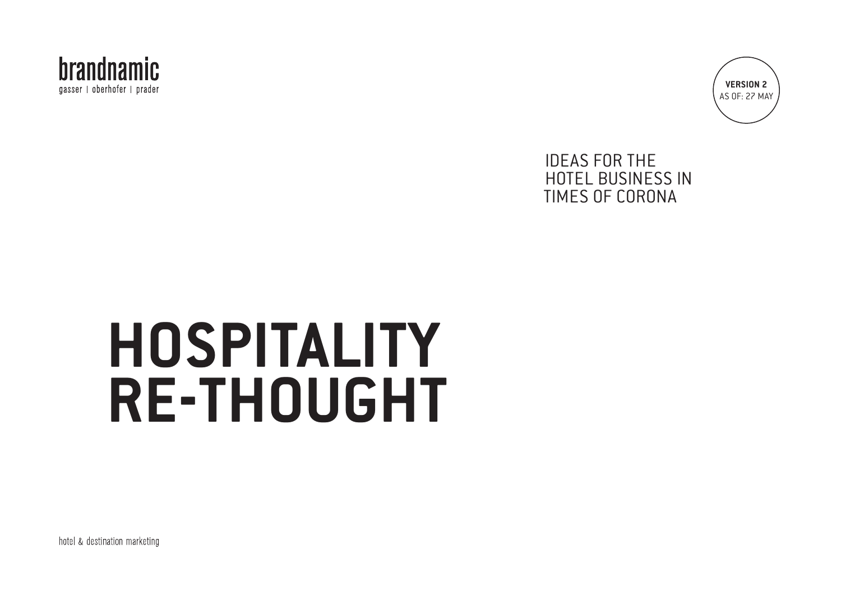



### IDEAS FOR THE HOTEL BUSINESS IN TIMES OF CORONA

# **HOSPITALITY RE-THOUGHT**

hotel & destination marketing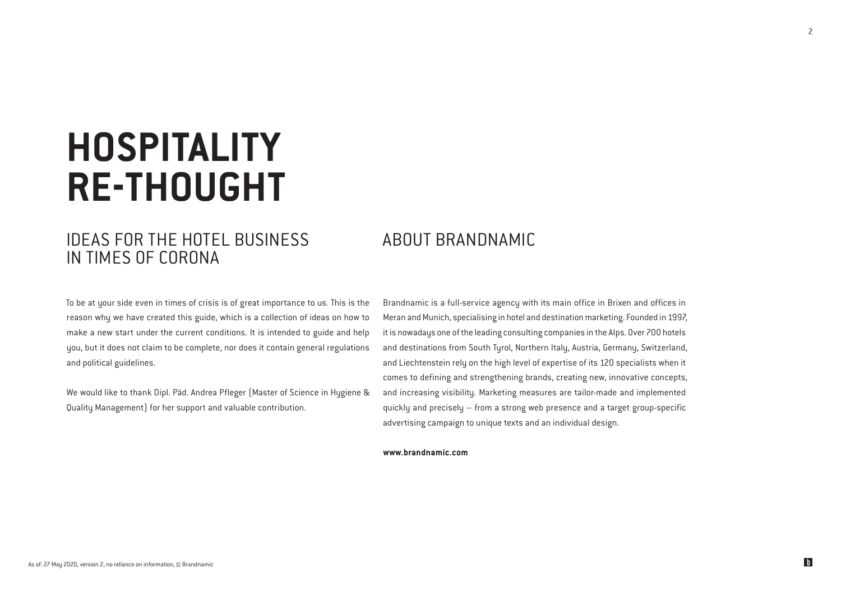## **HOSPITALITY RE-THOUGHT**

### IDEAS FOR THE HOTEL BUSINESS IN TIMES OF CORONA

### ABOUT BRANDNAMIC

To be at your side even in times of crisis is of great importance to us. This is the reason why we have created this guide, which is a collection of ideas on how to make a new start under the current conditions. It is intended to guide and help you, but it does not claim to be complete, nor does it contain general regulations and political guidelines.

We would like to thank Dipl. Päd. Andrea Pfleger (Master of Science in Hygiene & Quality Management) for her support and valuable contribution.

Brandnamic is a full-service agency with its main office in Brixen and offices in Meran and Munich, specialising in hotel and destination marketing. Founded in 1997, it is nowadays one of the leading consulting companies in the Alps. Over 700 hotels and destinations from South Tyrol, Northern Italy, Austria, Germany, Switzerland, and Liechtenstein rely on the high level of expertise of its 120 specialists when it comes to defining and strengthening brands, creating new, innovative concepts, and increasing visibility. Marketing measures are tailor-made and implemented quickly and precisely – from a strong web presence and a target group-specific advertising campaign to unique texts and an individual design.

#### **www.brandnamic.com**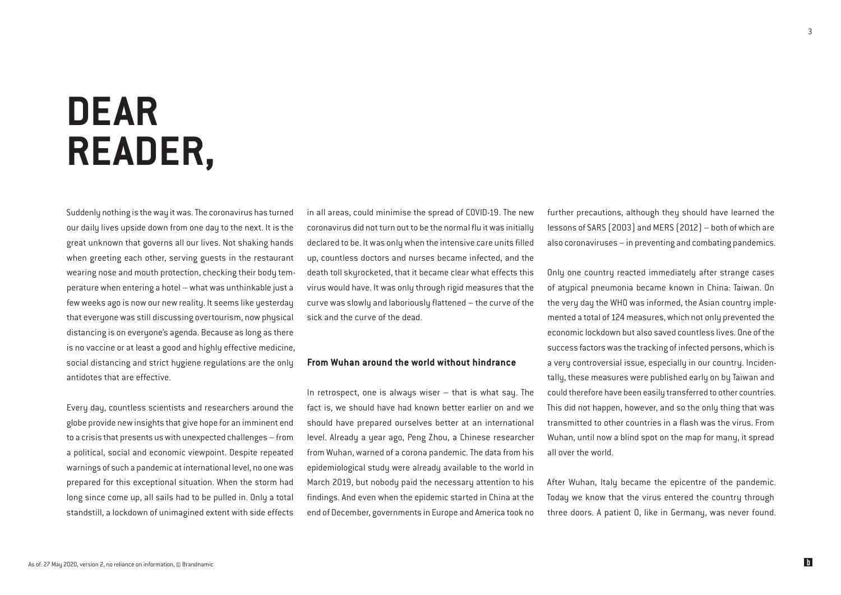## **DEAR READER,**

Suddenly nothing is the way it was. The coronavirus has turned our daily lives upside down from one day to the next. It is the great unknown that governs all our lives. Not shaking hands when greeting each other, serving guests in the restaurant wearing nose and mouth protection, checking their body temperature when entering a hotel – what was unthinkable just a few weeks ago is now our new reality. It seems like yesterday that everyone was still discussing overtourism, now physical distancing is on everyone's agenda. Because as long as there is no vaccine or at least a good and highly effective medicine, social distancing and strict hygiene regulations are the only antidotes that are effective.

Every day, countless scientists and researchers around the globe provide new insights that give hope for an imminent end to a crisis that presents us with unexpected challenges – from a political, social and economic viewpoint. Despite repeated warnings of such a pandemic at international level, no one was prepared for this exceptional situation. When the storm had long since come up, all sails had to be pulled in. Only a total standstill, a lockdown of unimagined extent with side effects in all areas, could minimise the spread of COVID-19. The new coronavirus did not turn out to be the normal flu it was initially declared to be. It was only when the intensive care units filled up, countless doctors and nurses became infected, and the death toll skyrocketed, that it became clear what effects this virus would have. It was only through rigid measures that the curve was slowly and laboriously flattened – the curve of the sick and the curve of the dead.

#### From Wuhan around the world without hindrance

In retrospect, one is always wiser  $-$  that is what say. The fact is, we should have had known better earlier on and we should have prepared ourselves better at an international level. Already a year ago, Peng Zhou, a Chinese researcher from Wuhan, warned of a corona pandemic. The data from his epidemiological study were already available to the world in March 2019, but nobody paid the necessary attention to his findings. And even when the epidemic started in China at the end of December, governments in Europe and America took no

further precautions, although they should have learned the lessons of SARS (2003) and MERS (2012) – both of which are also coronaviruses – in preventing and combating pandemics.

Only one country reacted immediately after strange cases of atypical pneumonia became known in China: Taiwan. On the very day the WHO was informed, the Asian country implemented a total of 124 measures, which not only prevented the economic lockdown but also saved countless lives. One of the success factors was the tracking of infected persons, which is a very controversial issue, especially in our country. Incidentally, these measures were published early on by Taiwan and could therefore have been easily transferred to other countries. This did not happen, however, and so the only thing that was transmitted to other countries in a flash was the virus. From Wuhan, until now a blind spot on the map for many, it spread all over the world.

After Wuhan, Italy became the epicentre of the pandemic. Today we know that the virus entered the country through three doors. A patient 0, like in Germany, was never found.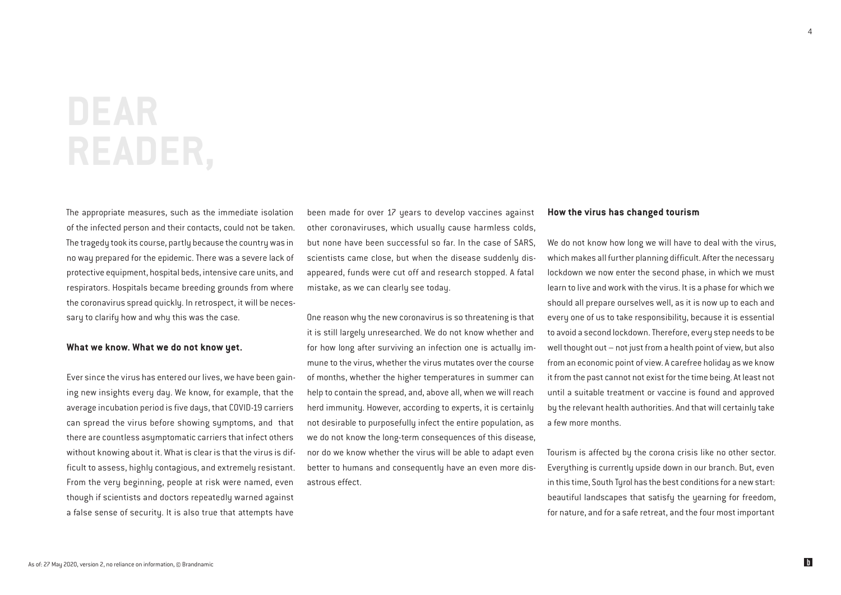## **DEAR READER,**

The appropriate measures, such as the immediate isolation of the infected person and their contacts, could not be taken. The tragedy took its course, partly because the country was in no way prepared for the epidemic. There was a severe lack of protective equipment, hospital beds, intensive care units, and respirators. Hospitals became breeding grounds from where the coronavirus spread quickly. In retrospect, it will be necessary to clarify how and why this was the case.

#### What we know. What we do not know yet.

Ever since the virus has entered our lives, we have been gaining new insights every day. We know, for example, that the average incubation period is five days, that COVID-19 carriers can spread the virus before showing symptoms, and that there are countless asymptomatic carriers that infect others without knowing about it. What is clear is that the virus is difficult to assess, highly contagious, and extremely resistant. From the very beginning, people at risk were named, even though if scientists and doctors repeatedly warned against a false sense of security. It is also true that attempts have

been made for over 17 years to develop vaccines against other coronaviruses, which usually cause harmless colds, but none have been successful so far. In the case of SARS, scientists came close, but when the disease suddenly disappeared, funds were cut off and research stopped. A fatal mistake, as we can clearly see today.

One reason why the new coronavirus is so threatening is that it is still largely unresearched. We do not know whether and for how long after surviving an infection one is actually immune to the virus, whether the virus mutates over the course of months, whether the higher temperatures in summer can help to contain the spread, and, above all, when we will reach herd immunity. However, according to experts, it is certainly not desirable to purposefully infect the entire population, as we do not know the long-term consequences of this disease, nor do we know whether the virus will be able to adapt even better to humans and consequently have an even more disastrous effect.

#### How the virus has changed tourism

We do not know how long we will have to deal with the virus, which makes all further planning difficult. After the necessary lockdown we now enter the second phase, in which we must learn to live and work with the virus. It is a phase for which we should all prepare ourselves well, as it is now up to each and every one of us to take responsibility, because it is essential to avoid a second lockdown. Therefore, every step needs to be well thought out – not just from a health point of view, but also from an economic point of view. A carefree holiday as we know it from the past cannot not exist for the time being. At least not until a suitable treatment or vaccine is found and approved by the relevant health authorities. And that will certainly take a few more months.

Tourism is affected by the corona crisis like no other sector. Everything is currently upside down in our branch. But, even in this time, South Tyrol has the best conditions for a new start: beautiful landscapes that satisfy the yearning for freedom, for nature, and for a safe retreat, and the four most important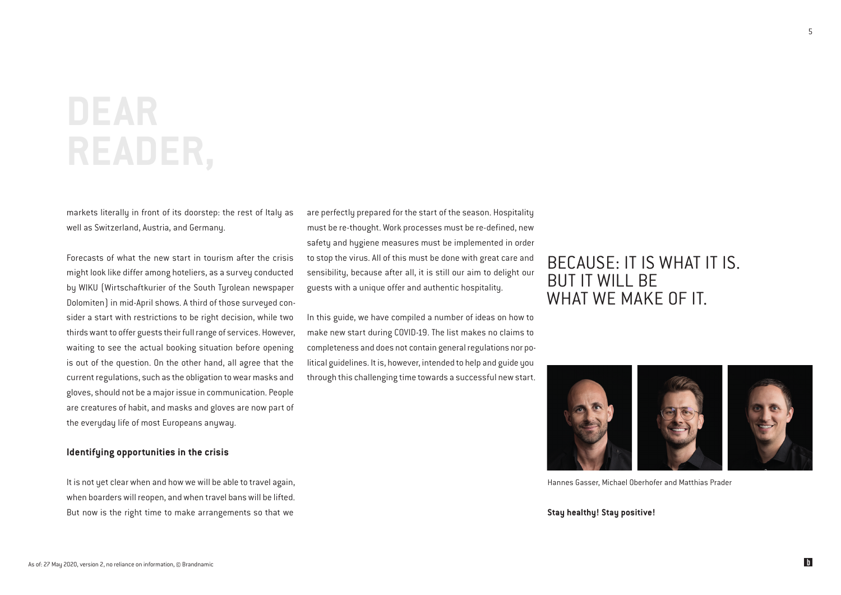## **DEAR READER,**

markets literally in front of its doorstep: the rest of Italy as well as Switzerland, Austria, and Germany.

Forecasts of what the new start in tourism after the crisis might look like differ among hoteliers, as a survey conducted by WIKU (Wirtschaftkurier of the South Tyrolean newspaper Dolomiten) in mid-April shows. A third of those surveyed consider a start with restrictions to be right decision, while two thirds want to offer guests their full range of services. However, waiting to see the actual booking situation before opening is out of the question. On the other hand, all agree that the current regulations, such as the obligation to wear masks and gloves, should not be a major issue in communication. People are creatures of habit, and masks and gloves are now part of the everyday life of most Europeans anyway.

#### Identifying opportunities in the crisis

It is not yet clear when and how we will be able to travel again, when boarders will reopen, and when travel bans will be lifted. But now is the right time to make arrangements so that we

are perfectly prepared for the start of the season. Hospitality must be re-thought. Work processes must be re-defined, new safety and hygiene measures must be implemented in order to stop the virus. All of this must be done with great care and sensibility, because after all, it is still our aim to delight our guests with a unique offer and authentic hospitality.

In this guide, we have compiled a number of ideas on how to make new start during COVID-19. The list makes no claims to completeness and does not contain general regulations nor political guidelines. It is, however, intended to help and guide you through this challenging time towards a successful new start.

### BECAUSE: IT IS WHAT IT IS. BUT IT WILL BE WHAT WE MAKE OF IT.



Hannes Gasser, Michael Oberhofer and Matthias Prader

#### **Stay healthy! Stay positive!**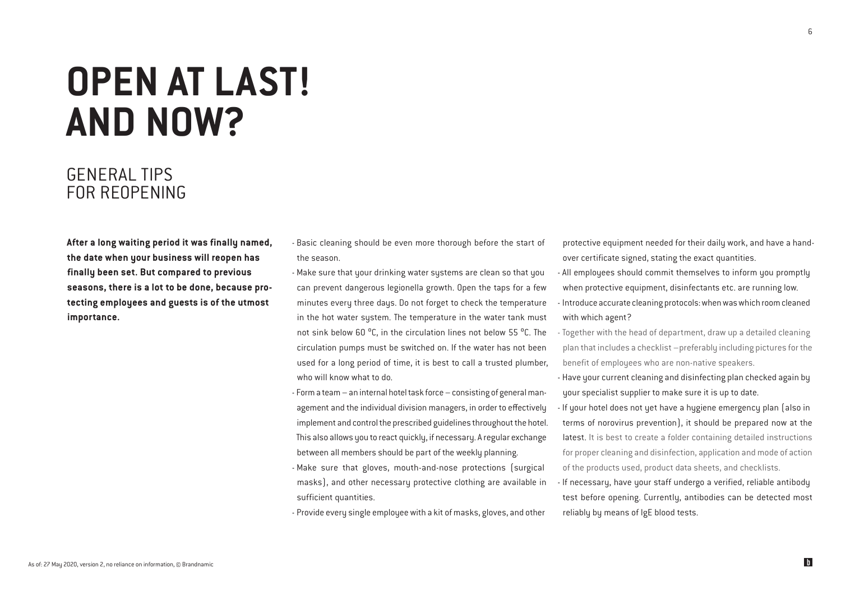## **OPEN AT LAST! AND NOW?**

### GENERAL TIPS FOR REOPENING

After a long waiting period it was finally named, the date when your business will reopen has finally been set. But compared to previous seasons, there is a lot to be done, because protecting employees and guests is of the utmost importance.

- Basic cleaning should be even more thorough before the start of the season.
- Make sure that your drinking water systems are clean so that you can prevent dangerous legionella growth. Open the taps for a few minutes every three days. Do not forget to check the temperature in the hot water system. The temperature in the water tank must not sink below 60 °C, in the circulation lines not below 55 °C. The circulation pumps must be switched on. If the water has not been used for a long period of time, it is best to call a trusted plumber, who will know what to do.
- Form a team an internal hotel task force consisting of general management and the individual division managers, in order to effectively implement and control the prescribed guidelines throughout the hotel. This also allows you to react quickly, if necessary. A regular exchange between all members should be part of the weekly planning.
- Make sure that gloves, mouth-and-nose protections (surgical masks), and other necessary protective clothing are available in sufficient quantities.
- Provide every single employee with a kit of masks, gloves, and other

protective equipment needed for their daily work, and have a handover certificate signed, stating the exact quantities.

- All employees should commit themselves to inform you promptly when protective equipment, disinfectants etc. are running low. - Introduce accurate cleaning protocols: when was which room cleaned with which agent?
- Together with the head of department, draw up a detailed cleaning plan that includes a checklist –preferably including pictures for the benefit of employees who are non-native speakers.
- Have your current cleaning and disinfecting plan checked again by your specialist supplier to make sure it is up to date.
- If your hotel does not yet have a hygiene emergency plan (also in terms of norovirus prevention), it should be prepared now at the latest. It is best to create a folder containing detailed instructions for proper cleaning and disinfection, application and mode of action of the products used, product data sheets, and checklists.
- If necessary, have your staff undergo a verified, reliable antibody test before opening. Currently, antibodies can be detected most reliably by means of IgE blood tests.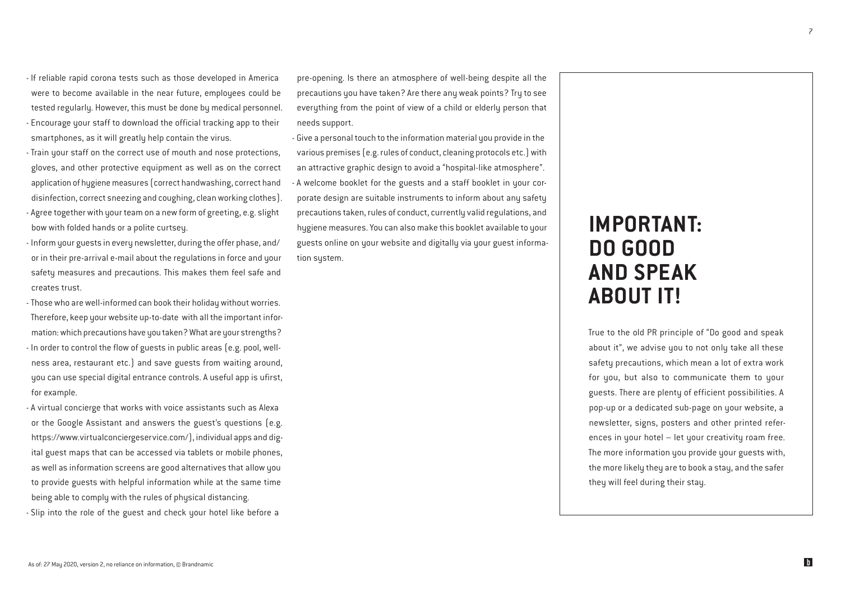- If reliable rapid corona tests such as those developed in America were to become available in the near future, employees could be tested regularly. However, this must be done by medical personnel. - Encourage your staff to download the official tracking app to their

- Train your staff on the correct use of mouth and nose protections, gloves, and other protective equipment as well as on the correct application of hygiene measures (correct handwashing, correct hand disinfection, correct sneezing and coughing, clean working clothes). - Agree together with your team on a new form of greeting, e.g. slight

bow with folded hands or a polite curtsey. - Inform your guests in every newsletter, during the offer phase, and/

smartphones, as it will greatly help contain the virus.

or in their pre-arrival e-mail about the regulations in force and your safety measures and precautions. This makes them feel safe and creates trust.

- Those who are well-informed can book their holiday without worries. Therefore, keep your website up-to-date with all the important information: which precautions have you taken? What are your strengths? - In order to control the flow of guests in public areas (e.g. pool, wellness area, restaurant etc.) and save guests from waiting around, you can use special digital entrance controls. A useful app is ufirst, for example.

- A virtual concierge that works with voice assistants such as Alexa or the Google Assistant and answers the guest's questions (e.g. https://www.virtualconciergeservice.com/), individual apps and digital guest maps that can be accessed via tablets or mobile phones, as well as information screens are good alternatives that allow you to provide guests with helpful information while at the same time being able to complu with the rules of physical distancing. - Slip into the role of the guest and check your hotel like before a

pre-opening. Is there an atmosphere of well-being despite all the precautions you have taken? Are there any weak points? Try to see everything from the point of view of a child or elderly person that needs support.

- Give a personal touch to the information material you provide in the various premises (e.g. rules of conduct, cleaning protocols etc.) with an attractive graphic design to avoid a "hospital-like atmosphere". - A welcome booklet for the guests and a staff booklet in your corporate design are suitable instruments to inform about any safety precautions taken, rules of conduct, currently valid regulations, and hygiene measures. You can also make this booklet available to your guests online on your website and digitally via your guest information system.

## IMPORTANT: DO GOOD AND SPEAK ABOUT IT!

True to the old PR principle of "Do good and speak about it", we advise you to not only take all these safety precautions, which mean a lot of extra work for you, but also to communicate them to your guests. There are plenty of efficient possibilities. A pop-up or a dedicated sub-page on your website, a newsletter, signs, posters and other printed references in your hotel – let your creativity roam free. The more information you provide your guests with, the more likely they are to book a stay, and the safer they will feel during their stay.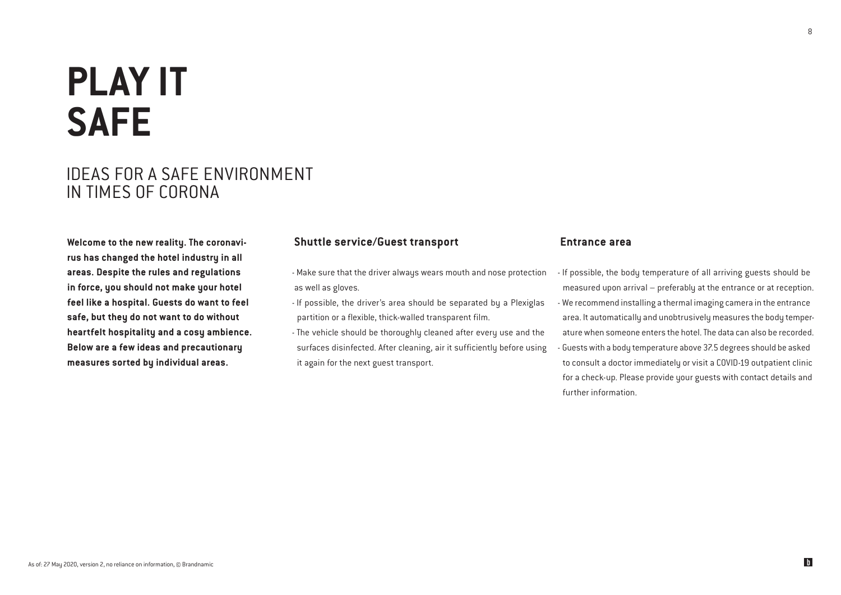## **PLAY IT SAFE**

### IDEAS FOR A SAFE ENVIRONMENT IN TIMES OF CORONA

Welcome to the new reality. The coronavirus has changed the hotel industry in all areas. Despite the rules and regulations in force, you should not make your hotel feel like a hospital. Guests do want to feel safe, but they do not want to do without heartfelt hospitality and a cosy ambience. Below are a few ideas and precautionary measures sorted by individual areas.

#### Shuttle service/Guest transport

- Make sure that the driver always wears mouth and nose protection as well as gloves.
- If possible, the driver's area should be separated by a Plexiglas partition or a flexible, thick-walled transparent film.
- The vehicle should be thoroughly cleaned after every use and the surfaces disinfected. After cleaning, air it sufficiently before using it again for the next guest transport.

#### Entrance area

- If possible, the body temperature of all arriving guests should be measured upon arrival – preferably at the entrance or at reception. - We recommend installing a thermal imaging camera in the entrance area. It automatically and unobtrusively measures the body temperature when someone enters the hotel. The data can also be recorded. - Guests with a body temperature above 37.5 degrees should be asked to consult a doctor immediately or visit a COVID-19 outpatient clinic for a check-up. Please provide your guests with contact details and further information.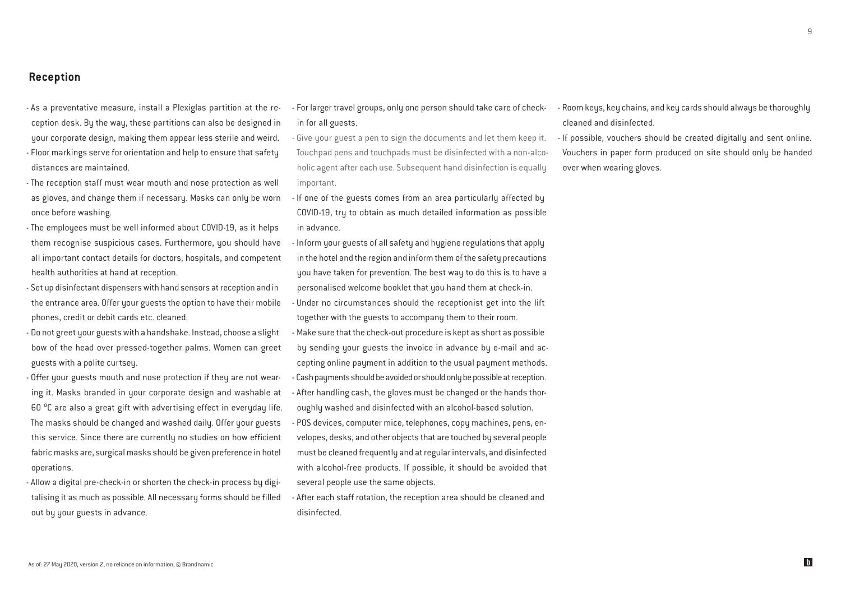$\alpha$ 

- Reception
- As a preventative measure, install a Plexiglas partition at the reception desk. By the way, these partitions can also be designed in your corporate design, making them appear less sterile and weird. - Floor markings serve for orientation and help to ensure that safety distances are maintained.
- The reception staff must wear mouth and nose protection as well as gloves, and change them if necessary. Masks can only be worn once before washing.
- The employees must be well informed about COVID-19, as it helps them recognise suspicious cases. Furthermore, you should have all important contact details for doctors, hospitals, and competent health authorities at hand at reception.
- Set up disinfectant dispensers with hand sensors at reception and in the entrance area. Offer your guests the option to have their mobile phones, credit or debit cards etc. cleaned.
- Do not greet your guests with a handshake. Instead, choose a slight bow of the head over pressed-together palms. Women can greet guests with a polite curtsey.
- Offer your guests mouth and nose protection if they are not wearing it. Masks branded in your corporate design and washable at 60 <sup>o</sup>C are also a great gift with advertising effect in everyday life. The masks should be changed and washed daily. Offer your guests this service. Since there are currently no studies on how efficient fabric masks are, surgical masks should be given preference in hotel operations.
- Allow a digital pre-check-in or shorten the check-in process by digitalising it as much as possible. All necessary forms should be filled out by your guests in advance.
- For larger travel groups, only one person should take care of checkin for all guests.
- Give your guest a pen to sign the documents and let them keep it. Touchpad pens and touchpads must be disinfected with a non-alcoholic agent after each use. Subsequent hand disinfection is equally important.
- If one of the guests comes from an area particularly affected by COVID-19, try to obtain as much detailed information as possible in advance.
- Inform your guests of all safety and hygiene regulations that apply in the hotel and the region and inform them of the safety precautions you have taken for prevention. The best way to do this is to have a personalised welcome booklet that you hand them at check-in.
- Under no circumstances should the receptionist get into the lift together with the guests to accompany them to their room.
- Make sure that the check-out procedure is kept as short as possible by sending your guests the invoice in advance by e-mail and accepting online payment in addition to the usual payment methods. - Cash payments should be avoided or should only be possible at reception.
- After handling cash, the gloves must be changed or the hands thoroughly washed and disinfected with an alcohol-based solution.
- POS devices, computer mice, telephones, copy machines, pens, envelopes, desks, and other objects that are touched by several people must be cleaned frequently and at regular intervals, and disinfected with alcohol-free products. If possible, it should be avoided that several people use the same objects.
- After each staff rotation, the reception area should be cleaned and disinfected.
- Room keys, key chains, and key cards should always be thoroughly cleaned and disinfected.
- If possible, vouchers should be created digitally and sent online. Vouchers in paper form produced on site should only be handed over when wearing gloves.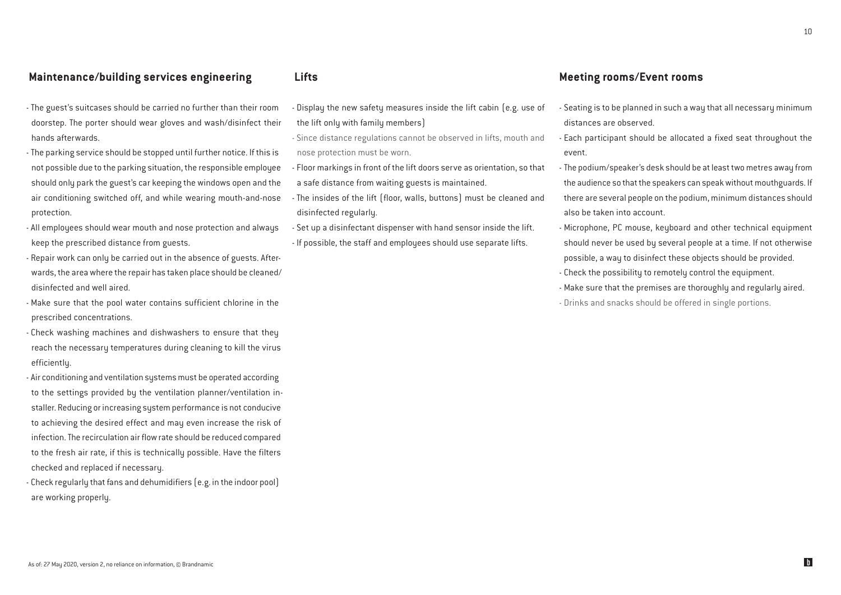#### Maintenance/building services engineering

- The guest's suitcases should be carried no further than their room doorstep. The porter should wear gloves and wash/disinfect their hands afterwards.
- The parking service should be stopped until further notice. If this is not possible due to the parking situation, the responsible employee should only park the guest's car keeping the windows open and the air conditioning switched off, and while wearing mouth-and-nose protection.
- All employees should wear mouth and nose protection and always keep the prescribed distance from guests.
- Repair work can only be carried out in the absence of guests. Afterwards, the area where the repair has taken place should be cleaned/ disinfected and well aired.
- Make sure that the pool water contains sufficient chlorine in the prescribed concentrations.
- Check washing machines and dishwashers to ensure that they reach the necessary temperatures during cleaning to kill the virus efficiently.
- Air conditioning and ventilation systems must be operated according to the settings provided by the ventilation planner/ventilation installer. Reducing or increasing system performance is not conducive to achieving the desired effect and may even increase the risk of infection. The recirculation air flow rate should be reduced compared to the fresh air rate, if this is technically possible. Have the filters checked and replaced if necessary.
- Check regularly that fans and dehumidifiers (e.g. in the indoor pool) are working properly.

#### Lifts

- Display the new safety measures inside the lift cabin (e.g. use of the lift only with family members)
- Since distance regulations cannot be observed in lifts, mouth and nose protection must be worn.
- Floor markings in front of the lift doors serve as orientation, so that a safe distance from waiting guests is maintained.
- The insides of the lift (floor, walls, buttons) must be cleaned and disinfected regularly.
- Set up a disinfectant dispenser with hand sensor inside the lift.
- If possible, the staff and employees should use separate lifts.

#### Meeting rooms/Event rooms

- Seating is to be planned in such a way that all necessary minimum distances are observed.
- Each participant should be allocated a fixed seat throughout the event.
- The podium/speaker's desk should be at least two metres away from the audience so that the speakers can speak without mouthguards. If there are several people on the podium, minimum distances should also be taken into account.
- Microphone, PC mouse, keyboard and other technical equipment should never be used by several people at a time. If not otherwise possible, a way to disinfect these objects should be provided.
- Check the possibility to remotely control the equipment.
- Make sure that the premises are thoroughly and regularly aired. - Drinks and snacks should be offered in single portions.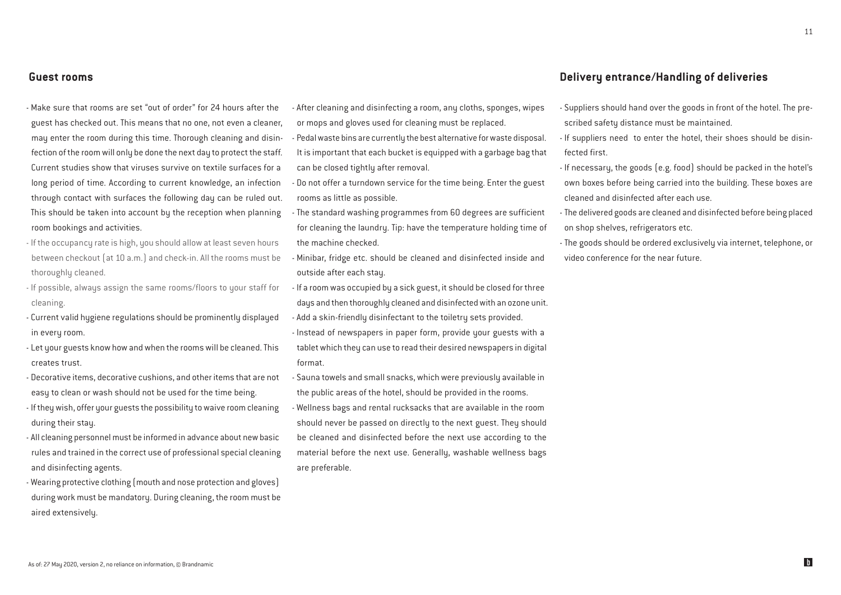#### Guest rooms

- Make sure that rooms are set "out of order" for 24 hours after the guest has checked out. This means that no one, not even a cleaner, may enter the room during this time. Thorough cleaning and disinfection of the room will only be done the next day to protect the staff. Current studies show that viruses survive on textile surfaces for a long period of time. According to current knowledge, an infection through contact with surfaces the following day can be ruled out. This should be taken into account by the reception when planning room bookings and activities.
- If the occupancy rate is high, you should allow at least seven hours between checkout (at 10 a.m.) and check-in. All the rooms must be thoroughly cleaned.
- If possible, always assign the same rooms/floors to your staff for cleaning.
- Current valid hygiene regulations should be prominently displayed in every room.
- Let your guests know how and when the rooms will be cleaned. This creates trust.
- Decorative items, decorative cushions, and other items that are not easy to clean or wash should not be used for the time being.
- If they wish, offer your guests the possibility to waive room cleaning during their stay.
- All cleaning personnel must be informed in advance about new basic rules and trained in the correct use of professional special cleaning and disinfecting agents.
- Wearing protective clothing (mouth and nose protection and gloves) during work must be mandatory. During cleaning, the room must be aired extensively.

- After cleaning and disinfecting a room, any cloths, sponges, wipes or mops and gloves used for cleaning must be replaced.

- Pedal waste bins are currently the best alternative for waste disposal. It is important that each bucket is equipped with a garbage bag that can be closed tightly after removal.
- Do not offer a turndown service for the time being. Enter the guest rooms as little as possible.
- The standard washing programmes from 60 degrees are sufficient for cleaning the laundry. Tip: have the temperature holding time of the machine checked.
- Minibar, fridge etc. should be cleaned and disinfected inside and outside after each stay.
- If a room was occupied by a sick guest, it should be closed for three days and then thoroughly cleaned and disinfected with an ozone unit.
- Add a skin-friendly disinfectant to the toiletry sets provided. - Instead of newspapers in paper form, provide your guests with a tablet which they can use to read their desired newspapers in digital format.
- Sauna towels and small snacks, which were previously available in the public areas of the hotel, should be provided in the rooms.
- Wellness bags and rental rucksacks that are available in the room should never be passed on directly to the next guest. They should be cleaned and disinfected before the next use according to the material before the next use. Generally, washable wellness bags are preferable.

#### Delivery entrance/Handling of deliveries

- Suppliers should hand over the goods in front of the hotel. The prescribed safety distance must be maintained.
- If suppliers need to enter the hotel, their shoes should be disinfected first.
- If necessary, the goods (e.g. food) should be packed in the hotel's own boxes before being carried into the building. These boxes are cleaned and disinfected after each use.
- The delivered goods are cleaned and disinfected before being placed on shop shelves, refrigerators etc.
- The goods should be ordered exclusively via internet, telephone, or video conference for the near future.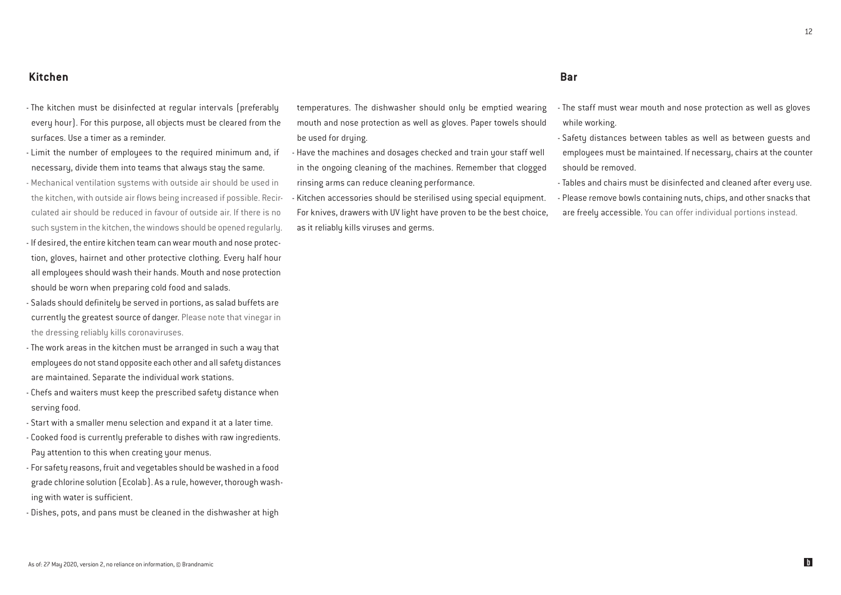- The kitchen must be disinfected at regular intervals (preferably every hour). For this purpose, all objects must be cleared from the surfaces. Use a timer as a reminder.
- Limit the number of employees to the required minimum and, if necessary, divide them into teams that always stay the same.
- Mechanical ventilation systems with outside air should be used in the kitchen, with outside air flows being increased if possible. Recirculated air should be reduced in favour of outside air. If there is no such system in the kitchen, the windows should be opened regularly. - If desired, the entire kitchen team can wear mouth and nose protection, gloves, hairnet and other protective clothing. Every half hour all employees should wash their hands. Mouth and nose protection
- should be worn when preparing cold food and salads.
- Salads should definitely be served in portions, as salad buffets are currently the greatest source of danger. Please note that vinegar in the dressing reliably kills coronaviruses.
- The work areas in the kitchen must be arranged in such a way that employees do not stand opposite each other and all safety distances are maintained. Separate the individual work stations.
- Chefs and waiters must keep the prescribed safety distance when serving food.
- Start with a smaller menu selection and expand it at a later time.
- Cooked food is currently preferable to dishes with raw ingredients. Pay attention to this when creating your menus.
- For safety reasons, fruit and vegetables should be washed in a food grade chlorine solution (Ecolab). As a rule, however, thorough washing with water is sufficient.
- Dishes, pots, and pans must be cleaned in the dishwasher at high

temperatures. The dishwasher should only be emptied wearing mouth and nose protection as well as gloves. Paper towels should be used for drying.

- Have the machines and dosages checked and train your staff well in the ongoing cleaning of the machines. Remember that clogged rinsing arms can reduce cleaning performance.
- Kitchen accessories should be sterilised using special equipment. For knives, drawers with UV light have proven to be the best choice, as it reliably kills viruses and germs.

#### Bar

- The staff must wear mouth and nose protection as well as gloves while working.
- Safety distances between tables as well as between guests and employees must be maintained. If necessary, chairs at the counter should be removed.
- Tables and chairs must be disinfected and cleaned after every use. - Please remove bowls containing nuts, chips, and other snacks that are freely accessible. You can offer individual portions instead.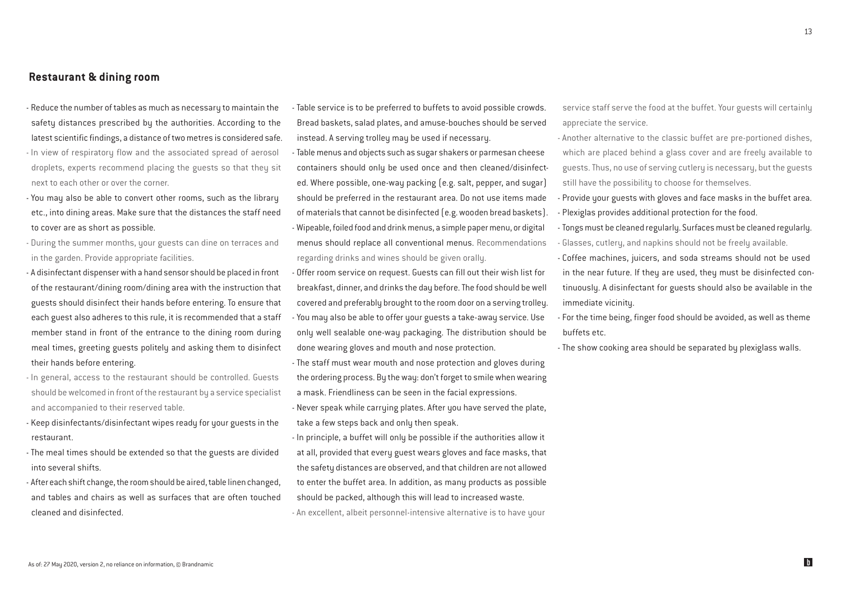Restaurant & dining room

- Reduce the number of tables as much as necessary to maintain the safety distances prescribed by the authorities. According to the latest scientific findings, a distance of two metres is considered safe.

- In view of respiratory flow and the associated spread of aerosol droplets, experts recommend placing the guests so that they sit next to each other or over the corner.

- You may also be able to convert other rooms, such as the library etc., into dining areas. Make sure that the distances the staff need to cover are as short as possible.

- During the summer months, your guests can dine on terraces and in the garden. Provide appropriate facilities.

- A disinfectant dispenser with a hand sensor should be placed in front of the restaurant/dining room/dining area with the instruction that guests should disinfect their hands before entering. To ensure that each guest also adheres to this rule, it is recommended that a staff member stand in front of the entrance to the dining room during meal times, greeting guests politely and asking them to disinfect their hands before entering.
- In general, access to the restaurant should be controlled. Guests should be welcomed in front of the restaurant by a service specialist and accompanied to their reserved table.
- Keep disinfectants/disinfectant wipes ready for your guests in the restaurant.
- The meal times should be extended so that the guests are divided into several shifts.

- After each shift change, the room should be aired, table linen changed, and tables and chairs as well as surfaces that are often touched cleaned and disinfected.

- Table service is to be preferred to buffets to avoid possible crowds. Bread baskets, salad plates, and amuse-bouches should be served instead. A serving trolley may be used if necessary.

- Table menus and objects such as sugar shakers or parmesan cheese containers should only be used once and then cleaned/disinfected. Where possible, one-way packing (e.g. salt, pepper, and sugar) should be preferred in the restaurant area. Do not use items made of materials that cannot be disinfected (e.g. wooden bread baskets). - Wipeable, foiled food and drink menus, a simple paper menu, or digital menus should replace all conventional menus. Recommendations regarding drinks and wines should be given orally.

- Offer room service on request. Guests can fill out their wish list for breakfast, dinner, and drinks the day before. The food should be well covered and preferably brought to the room door on a serving trolley. - You may also be able to offer your guests a take-away service. Use only well sealable one-way packaging. The distribution should be done wearing gloves and mouth and nose protection.

- The staff must wear mouth and nose protection and gloves during the ordering process. By the way: don't forget to smile when wearing a mask. Friendliness can be seen in the facial expressions. - Never speak while carrying plates. After you have served the plate, take a few steps back and only then speak.

- In principle, a buffet will only be possible if the authorities allow it at all, provided that every guest wears gloves and face masks, that the safety distances are observed, and that children are not allowed to enter the buffet area. In addition, as many products as possible should be packed, although this will lead to increased waste.

- An excellent, albeit personnel-intensive alternative is to have your

service staff serve the food at the buffet. Your guests will certainly appreciate the service.

- Another alternative to the classic buffet are pre-portioned dishes, which are placed behind a glass cover and are freely available to guests. Thus, no use of serving cutlery is necessary, but the guests still have the possibility to choose for themselves.

- Provide your guests with gloves and face masks in the buffet area. - Plexiglas provides additional protection for the food.

- Tongs must be cleaned regularly. Surfaces must be cleaned regularly. - Glasses, cutlery, and napkins should not be freely available.

- Coffee machines, juicers, and soda streams should not be used in the near future. If they are used, they must be disinfected continuously. A disinfectant for guests should also be available in the immediate vicinity.

- For the time being, finger food should be avoided, as well as theme buffets etc.

- The show cooking area should be separated by plexiglass walls.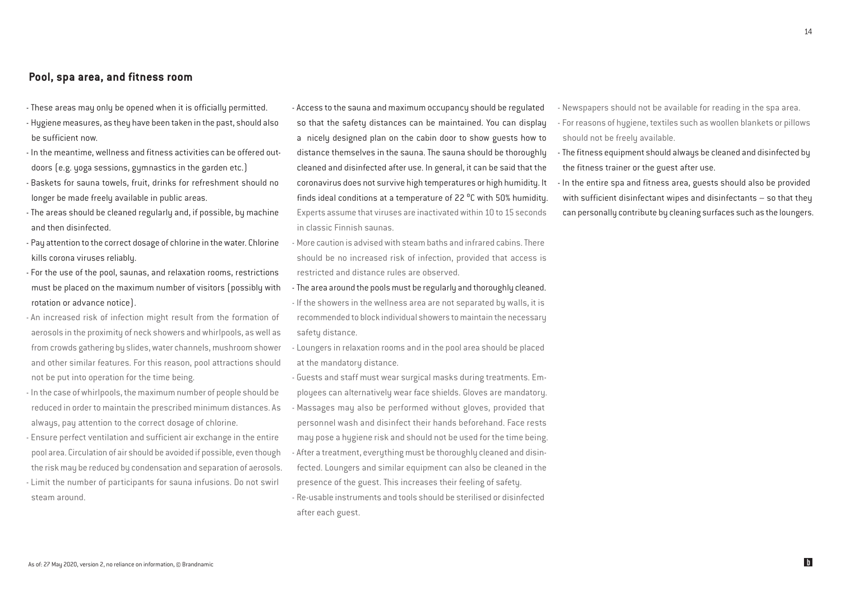#### Pool, spa area, and fitness room

- These areas may only be opened when it is officially permitted.
- Hygiene measures, as they have been taken in the past, should also be sufficient now.
- In the meantime, wellness and fitness activities can be offered outdoors (e.g. yoga sessions, gymnastics in the garden etc.)
- Baskets for sauna towels, fruit, drinks for refreshment should no longer be made freely available in public areas.
- The areas should be cleaned regularly and, if possible, by machine and then disinfected.
- Pay attention to the correct dosage of chlorine in the water. Chlorine kills corona viruses reliably.
- For the use of the pool, saunas, and relaxation rooms, restrictions must be placed on the maximum number of visitors (possibly with rotation or advance notice).
- An increased risk of infection might result from the formation of aerosols in the proximity of neck showers and whirlpools, as well as from crowds gathering by slides, water channels, mushroom shower and other similar features. For this reason, pool attractions should not be put into operation for the time being.
- In the case of whirlpools, the maximum number of people should be reduced in order to maintain the prescribed minimum distances. As always, pay attention to the correct dosage of chlorine.
- Ensure perfect ventilation and sufficient air exchange in the entire pool area. Circulation of air should be avoided if possible, even though the risk may be reduced by condensation and separation of aerosols. - Limit the number of participants for sauna infusions. Do not swirl steam around.

- Access to the sauna and maximum occupancy should be regulated so that the safety distances can be maintained. You can display a nicely designed plan on the cabin door to show guests how to distance themselves in the sauna. The sauna should be thoroughly cleaned and disinfected after use. In general, it can be said that the coronavirus does not survive high temperatures or high humidity. It finds ideal conditions at a temperature of 22 $\degree$ C with 50% humidity. Experts assume that viruses are inactivated within 10 to 15 seconds in classic Finnish saunas.

- More caution is advised with steam baths and infrared cabins. There should be no increased risk of infection, provided that access is restricted and distance rules are observed.
- The area around the pools must be regularly and thoroughly cleaned.
- If the showers in the wellness area are not separated by walls, it is recommended to block individual showers to maintain the necessary safety distance.
- Loungers in relaxation rooms and in the pool area should be placed at the mandatory distance.
- Guests and staff must wear surgical masks during treatments. Employees can alternatively wear face shields. Gloves are mandatory. - Massages may also be performed without gloves, provided that personnel wash and disinfect their hands beforehand. Face rests may pose a hygiene risk and should not be used for the time being. - After a treatment, everything must be thoroughly cleaned and disinfected. Loungers and similar equipment can also be cleaned in the presence of the guest. This increases their feeling of safety.
- Re-usable instruments and tools should be sterilised or disinfected after each guest.

- Newspapers should not be available for reading in the spa area.

- For reasons of hygiene, textiles such as woollen blankets or pillows should not be freely available.
- The fitness equipment should always be cleaned and disinfected by the fitness trainer or the guest after use.
- In the entire spa and fitness area, guests should also be provided with sufficient disinfectant wipes and disinfectants – so that they can personally contribute by cleaning surfaces such as the loungers.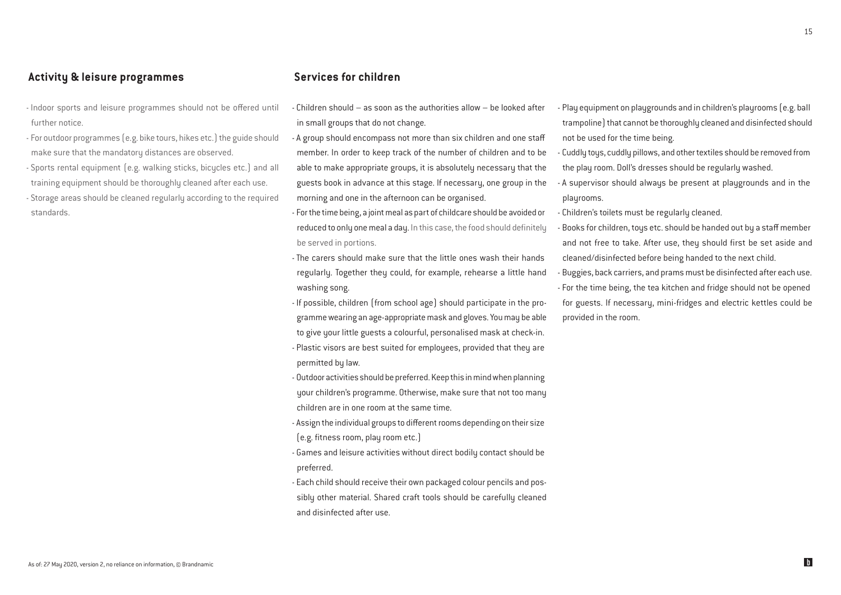#### Activity & leisure programmes

- Indoor sports and leisure programmes should not be offered until further notice.
- For outdoor programmes (e.g. bike tours, hikes etc.) the guide should make sure that the mandatory distances are observed.
- Sports rental equipment (e.g. walking sticks, bicycles etc.) and all training equipment should be thoroughly cleaned after each use. - Storage areas should be cleaned regularly according to the required standards.

#### Services for children

- Children should as soon as the authorities allow be looked after in small groups that do not change.
- A group should encompass not more than six children and one staff member. In order to keep track of the number of children and to be able to make appropriate groups, it is absolutely necessary that the guests book in advance at this stage. If necessary, one group in the morning and one in the afternoon can be organised.
- For the time being, a joint meal as part of childcare should be avoided or reduced to only one meal a day. In this case, the food should definitely be served in portions.
- The carers should make sure that the little ones wash their hands regularly. Together they could, for example, rehearse a little hand washing song.
- If possible, children (from school age) should participate in the programme wearing an age-appropriate mask and gloves. You may be able to give your little guests a colourful, personalised mask at check-in.
- Plastic visors are best suited for employees, provided that they are permitted by law.
- Outdoor activities should be preferred. Keep this in mind when planning your children's programme. Otherwise, make sure that not too many children are in one room at the same time.
- Assign the individual groups to different rooms depending on their size (e.g. fitness room, play room etc.)
- Games and leisure activities without direct bodily contact should be preferred.
- Each child should receive their own packaged colour pencils and possibly other material. Shared craft tools should be carefully cleaned and disinfected after use.
- Play equipment on playgrounds and in children's playrooms (e.g. ball trampoline) that cannot be thoroughly cleaned and disinfected should not be used for the time being.
- Cuddly toys, cuddly pillows, and other textiles should be removed from the play room. Doll's dresses should be regularly washed.
- A supervisor should always be present at playgrounds and in the playrooms.
- Children's toilets must be regularly cleaned.
- Books for children, toys etc. should be handed out by a staff member and not free to take. After use, they should first be set aside and cleaned/disinfected before being handed to the next child.
- Buggies, back carriers, and prams must be disinfected after each use. - For the time being, the tea kitchen and fridge should not be opened
- for guests. If necessary, mini-fridges and electric kettles could be provided in the room.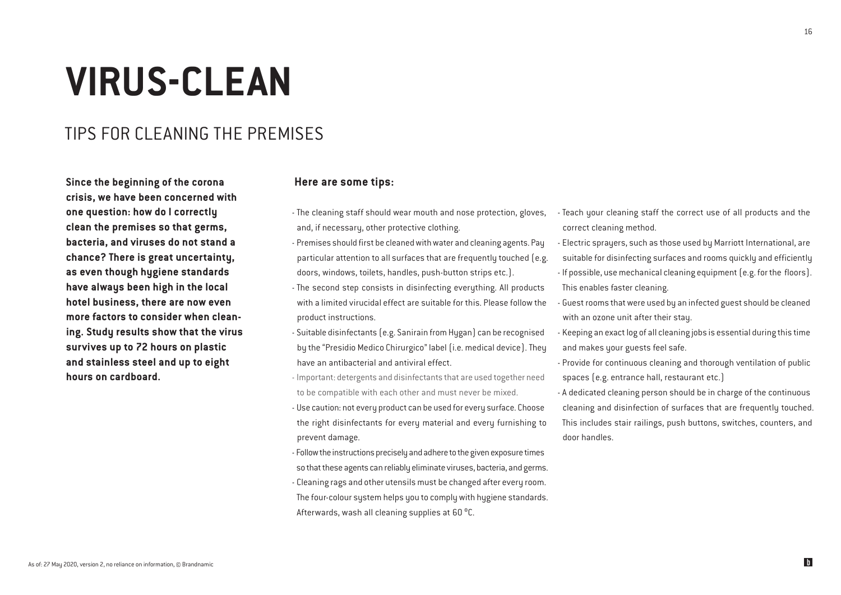## **VIRUS-CLEAN**

### TIPS FOR CLEANING THE PREMISES

Since the beginning of the corona crisis, we have been concerned with one question: how do I correctly clean the premises so that germs, bacteria, and viruses do not stand a chance? There is great uncertainty, as even though hygiene standards have always been high in the local hotel business, there are now even more factors to consider when cleaning. Study results show that the virus survives up to 72 hours on plastic and stainless steel and up to eight hours on cardboard.

#### Here are some tips:

- The cleaning staff should wear mouth and nose protection, gloves, and, if necessary, other protective clothing.
- Premises should first be cleaned with water and cleaning agents. Pay particular attention to all surfaces that are frequently touched (e.g. doors, windows, toilets, handles, push-button strips etc.).
- The second step consists in disinfecting everything. All products with a limited virucidal effect are suitable for this. Please follow the product instructions.
- Suitable disinfectants (e.g. Sanirain from Hygan) can be recognised by the "Presidio Medico Chirurgico" label (i.e. medical device). They have an antibacterial and antiviral effect.
- Important: detergents and disinfectants that are used together need to be compatible with each other and must never be mixed.
- Use caution: not every product can be used for every surface. Choose the right disinfectants for every material and every furnishing to prevent damage.
- Follow the instructions precisely and adhere to the given exposure times so that these agents can reliably eliminate viruses, bacteria, and germs.
- Cleaning rags and other utensils must be changed after every room. The four-colour sustem helps you to comply with hygiene standards. Afterwards, wash all cleaning supplies at 60 °C.
- Teach your cleaning staff the correct use of all products and the correct cleaning method.
- Electric sprayers, such as those used by Marriott International, are suitable for disinfecting surfaces and rooms quickly and efficiently - If possible, use mechanical cleaning equipment (e.g. for the floors).
- This enables faster cleaning.
- Guest rooms that were used by an infected guest should be cleaned with an ozone unit after their stay.
- Keeping an exact log of all cleaning jobs is essential during this time and makes your guests feel safe.
- Provide for continuous cleaning and thorough ventilation of public spaces (e.g. entrance hall, restaurant etc.)
- A dedicated cleaning person should be in charge of the continuous cleaning and disinfection of surfaces that are frequently touched. This includes stair railings, push buttons, switches, counters, and door handles.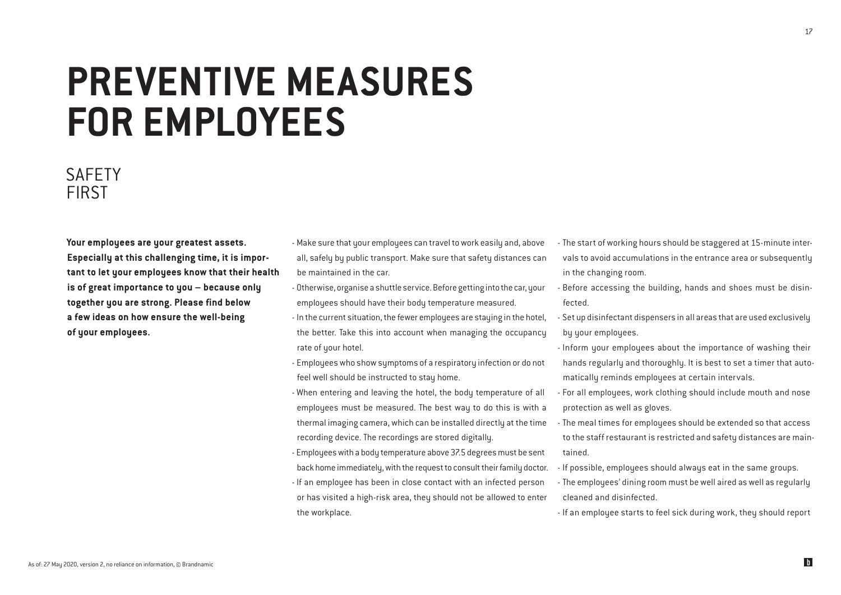## **PREVENTIVE MEASURES FOR EMPLOYEES**

### **SAFFTY** FIRST

Your employees are your greatest assets. Especially at this challenging time, it is important to let your employees know that their health is of great importance to you – because only together you are strong. Please find below a few ideas on how ensure the well-being of your employees.

- Make sure that your employees can travel to work easily and, above all, safely by public transport. Make sure that safety distances can be maintained in the car.
- Otherwise, organise a shuttle service. Before getting into the car, your employees should have their body temperature measured.
- In the current situation, the fewer employees are staying in the hotel, the better. Take this into account when managing the occupancy rate of your hotel.
- Employees who show symptoms of a respiratory infection or do not feel well should be instructed to stay home.
- When entering and leaving the hotel, the body temperature of all employees must be measured. The best way to do this is with a thermal imaging camera, which can be installed directly at the time recording device. The recordings are stored digitally.
- Employees with a body temperature above 37.5 degrees must be sent back home immediately, with the request to consult their family doctor.
- If an employee has been in close contact with an infected person or has visited a high-risk area, they should not be allowed to enter the workplace.
- The start of working hours should be staggered at 15-minute intervals to avoid accumulations in the entrance area or subsequently in the changing room.
- Before accessing the building, hands and shoes must be disinfected.
- Set up disinfectant dispensers in all areas that are used exclusively by your employees.
- Inform your employees about the importance of washing their hands regularly and thoroughly. It is best to set a timer that automatically reminds employees at certain intervals.
- For all employees, work clothing should include mouth and nose protection as well as gloves.
- The meal times for employees should be extended so that access to the staff restaurant is restricted and safety distances are maintained.
- If possible, employees should always eat in the same groups.
- The employees' dining room must be well aired as well as regularly cleaned and disinfected.
- If an employee starts to feel sick during work, they should report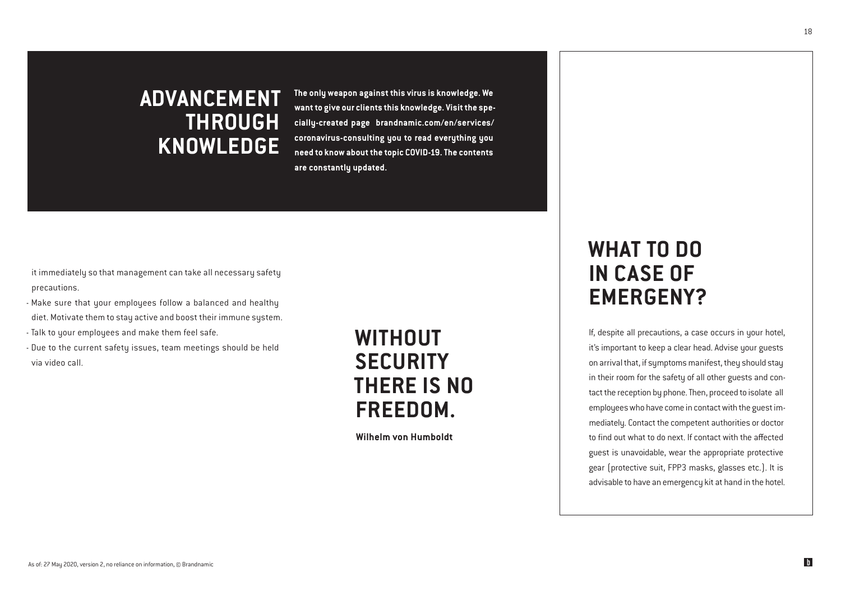## ADVANCEMENT THROUGH KNOWLEDGE

**The only weapon against this virus is knowledge. We want to give our clients this knowledge. Visit the specially-created page brandnamic.com/en/services/ coronavirus-consulting you to read everything you need to know about the topic COVID-19. The contents are constantly updated.**

it immediately so that management can take all necessary safety precautions.

- Make sure that your employees follow a balanced and healthy diet. Motivate them to stay active and boost their immune system.
- Talk to your employees and make them feel safe.
- Due to the current safety issues, team meetings should be held via video call.

## WITHOUT **SECURITY** THERE IS NO FREEDOM.

Wilhelm von Humboldt

## WHAT TO DO IN CASE OF EMERGENY?

If, despite all precautions, a case occurs in your hotel, it's important to keep a clear head. Advise your guests on arrival that, if symptoms manifest, they should stay in their room for the safety of all other guests and contact the reception by phone. Then, proceed to isolate all employees who have come in contact with the guest immediately. Contact the competent authorities or doctor to find out what to do next. If contact with the affected guest is unavoidable, wear the appropriate protective gear (protective suit, FPP3 masks, glasses etc.). It is advisable to have an emergency kit at hand in the hotel.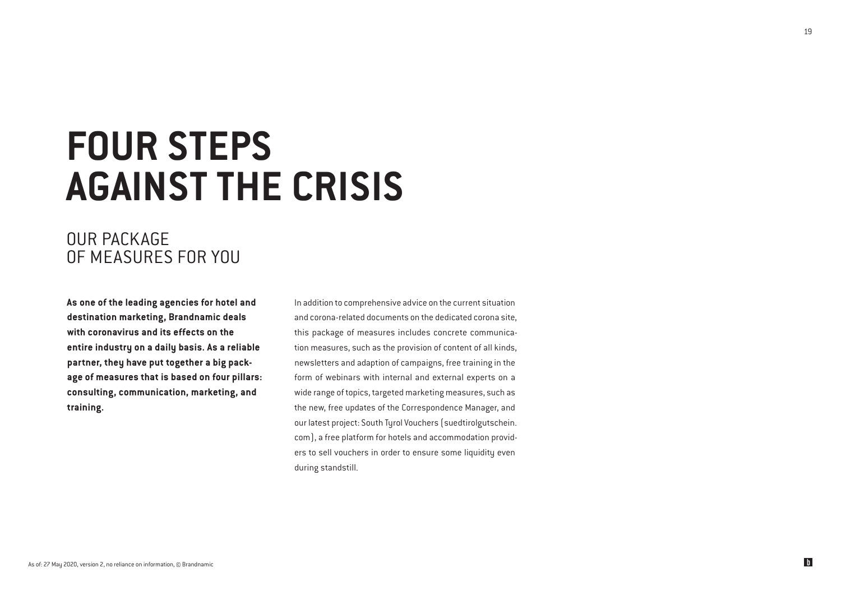## **FOUR STEPS AGAINST THE CRISIS**

### OUR PACKAGE OF MEASURES FOR YOU

As one of the leading agencies for hotel and destination marketing, Brandnamic deals with coronavirus and its effects on the entire industry on a daily basis. As a reliable partner, they have put together a big package of measures that is based on four pillars: consulting, communication, marketing, and training.

In addition to comprehensive advice on the current situation and corona-related documents on the dedicated corona site, this package of measures includes concrete communication measures, such as the provision of content of all kinds, newsletters and adaption of campaigns, free training in the form of webinars with internal and external experts on a wide range of topics, targeted marketing measures, such as the new, free updates of the Correspondence Manager, and our latest project: South Tyrol Vouchers (suedtirolgutschein. com), a free platform for hotels and accommodation providers to sell vouchers in order to ensure some liquidity even during standstill.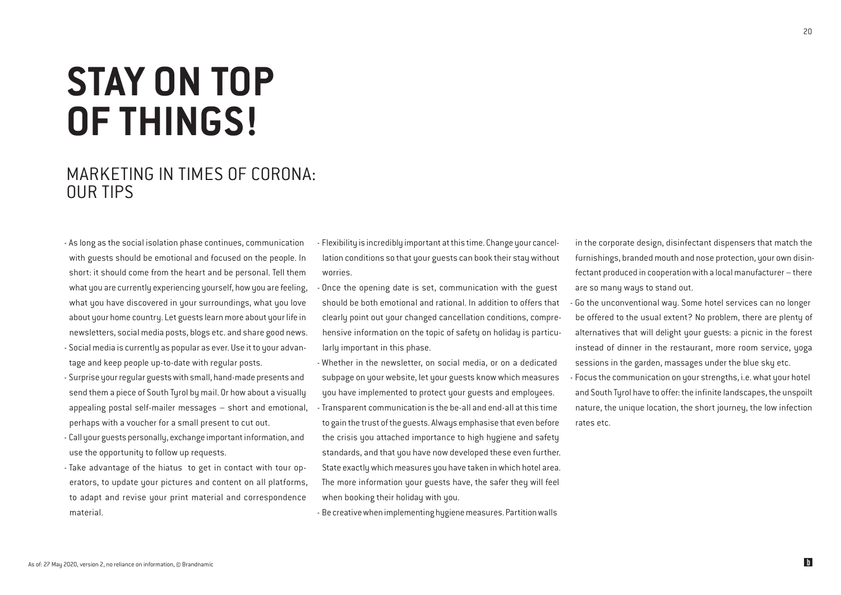## **STAY ON TOP OF THINGS!**

### MARKETING IN TIMES OF CORONA: OUR TIPS

- As long as the social isolation phase continues, communication with guests should be emotional and focused on the people. In short: it should come from the heart and be personal. Tell them what you are currently experiencing yourself, how you are feeling, what you have discovered in your surroundings, what you love about your home country. Let guests learn more about your life in newsletters, social media posts, blogs etc. and share good news. - Social media is currently as popular as ever. Use it to your advan-
- tage and keep people up-to-date with regular posts.
- Surprise your regular guests with small, hand-made presents and send them a piece of South Tyrol by mail. Or how about a visually appealing postal self-mailer messages – short and emotional, perhaps with a voucher for a small present to cut out.
- Call your guests personally, exchange important information, and use the opportunity to follow up requests.
- Take advantage of the hiatus to get in contact with tour operators, to update your pictures and content on all platforms, to adapt and revise your print material and correspondence material.

- Flexibility is incredibly important at this time. Change your cancellation conditions so that your guests can book their stay without worries.

- Once the opening date is set, communication with the guest should be both emotional and rational. In addition to offers that clearly point out your changed cancellation conditions, comprehensive information on the topic of safety on holiday is particularly important in this phase.
- Whether in the newsletter, on social media, or on a dedicated subpage on your website, let your guests know which measures you have implemented to protect your guests and employees. - Transparent communication is the be-all and end-all at this time to gain the trust of the guests. Always emphasise that even before the crisis you attached importance to high hygiene and safety standards, and that you have now developed these even further. State exactly which measures you have taken in which hotel area. The more information your guests have, the safer they will feel when booking their holiday with you.

- Be creative when implementing hygiene measures. Partition walls

in the corporate design, disinfectant dispensers that match the furnishings, branded mouth and nose protection, your own disinfectant produced in cooperation with a local manufacturer – there are so many ways to stand out.

- Go the unconventional way. Some hotel services can no longer be offered to the usual extent? No problem, there are plenty of alternatives that will delight your guests: a picnic in the forest instead of dinner in the restaurant, more room service, yoga sessions in the garden, massages under the blue sky etc.
- Focus the communication on your strengths, i.e. what your hotel and South Tyrol have to offer: the infinite landscapes, the unspoilt nature, the unique location, the short journey, the low infection rates etc.